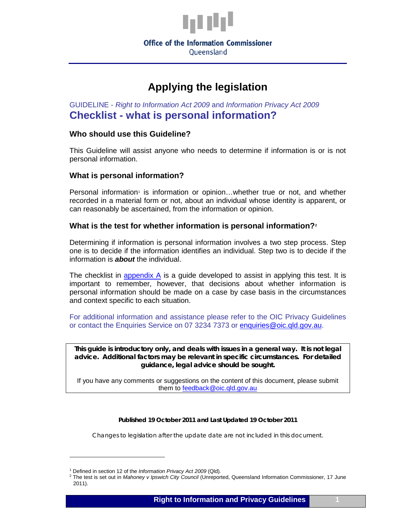

**Office of the Information Commissioner** Queensland

# **Applying the legislation**

GUIDELINE - *Right to Information Act 2009* and *Information Privacy Act 2009* **Checklist - what is personal information?**

#### **Who should use this Guideline?**

This Guideline will assist anyone who needs to determine if information is or is not personal information.

#### **What is personal information?**

Personal information<sup>[1](#page-0-0)</sup> is information or opinion...whether true or not, and whether recorded in a material form or not, about an individual whose identity is apparent, or can reasonably be ascertained, from the information or opinion.

#### **What is the test for whether information is personal information?[2](#page-0-1)**

Determining if information is personal information involves a two step process. Step one is to decide if the information identifies an individual. Step two is to decide if the information is *about* the individual.

The checklist in [appendix A](#page-1-0) is a guide developed to assist in applying this test. It is important to remember, however, that decisions about whether information is personal information should be made on a case by case basis in the circumstances and context specific to each situation.

For additional information and assistance please refer to the OIC Privacy Guidelines or contact the Enquiries Service on 07 3234 7373 or [enquiries@oic.qld.gov.au.](mailto:enquiries@oic.qld.gov.au)

**This guide is introductory only, and deals with issues in a general way. It is not legal advice. Additional factors may be relevant in specific circumstances. For detailed guidance, legal advice should be sought.**

If you have any comments or suggestions on the content of this document, please submit them to [feedback@oic.qld.gov.au](mailto:feedback@oic.qld.gov.au)

#### *Published 19 October 2011 and Last Updated 19 October 2011*

*Changes to legislation after the update date are not included in this document.*

 $\overline{a}$ 

<span id="page-0-1"></span><span id="page-0-0"></span><sup>1</sup> Defined in section 12 of the *Information Privacy Act 2009* (Qld)*.*

<sup>2</sup> The test is set out in *Mahoney v Ipswich City Council* (Unreported, Queensland Information Commissioner, 17 June 2011).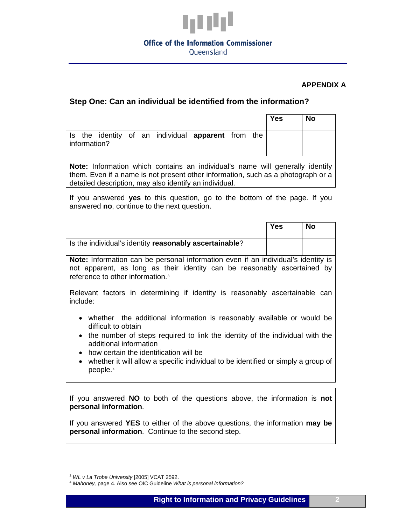

# **Office of the Information Commissioner**

Queensland

#### **APPENDIX A**

### <span id="page-1-0"></span>**Step One: Can an individual be identified from the information?**

|                                                                                                               | <b>Yes</b> | <b>No</b> |  |  |  |
|---------------------------------------------------------------------------------------------------------------|------------|-----------|--|--|--|
| Is the identity of an individual <b>apparent</b> from the<br>information?                                     |            |           |  |  |  |
| المتكلف والمستحدث والمستحدث والمستحين والمتناوية والمتحاف والمستحدث والمتحادية والمتحدث والمستحكمات والمتحالة |            |           |  |  |  |

**Note:** Information which contains an individual's name will generally identify them. Even if a name is not present other information, such as a photograph or a detailed description, may also identify an individual.

If you answered **yes** to this question, go to the bottom of the page. If you answered **no**, continue to the next question.

|                                                                                                                                                                                                               | Yes | No |  |  |
|---------------------------------------------------------------------------------------------------------------------------------------------------------------------------------------------------------------|-----|----|--|--|
| Is the individual's identity reasonably ascertainable?                                                                                                                                                        |     |    |  |  |
| Note: Information can be personal information even if an individual's identity is<br>not apparent, as long as their identity can be reasonably ascertained by<br>reference to other information. <sup>3</sup> |     |    |  |  |
| Relevant factors in determining if identity is reasonably ascertainable can<br>include:                                                                                                                       |     |    |  |  |
| whether the additional information is reasonably available or would be<br>difficult to obtain                                                                                                                 |     |    |  |  |
| • the number of steps required to link the identity of the individual with the<br>additional information                                                                                                      |     |    |  |  |
| how certain the identification will be<br>$\bullet$<br>whether it will allow a specific individual to be identified or simply a group of<br>$\bullet$<br>people. <sup>4</sup>                                 |     |    |  |  |

If you answered **NO** to both of the questions above, the information is **not personal information**.

If you answered **YES** to either of the above questions, the information **may be personal information**. Continue to the second step.

 $\ddot{\phantom{a}}$ 

<span id="page-1-1"></span><sup>3</sup> *WL v La Trobe University* [2005] VCAT 2592.

<span id="page-1-2"></span><sup>4</sup> *Mahoney,* page 4. Also see OIC Guideline *What is personal information?*